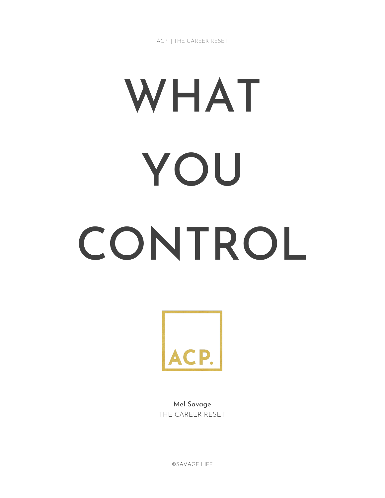ACP | THE CAREER RESET

# WHAT YOU CONTROL



Mel Savage THE CAREER RESET

©SAVAGE LIFE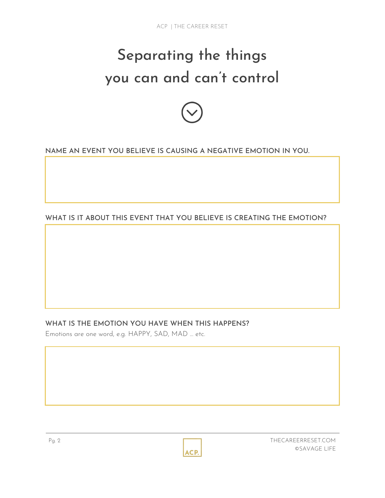# Separating the things you can and can't control



NAME AN EVENT YOU BELIEVE IS CAUSING A NEGATIVE EMOTION IN YOU.

WHAT IS IT ABOUT THIS EVENT THAT YOU BELIEVE IS CREATING THE EMOTION?

# WHAT IS THE EMOTION YOU HAVE WHEN THIS HAPPENS?

Emotions are one word, e.g. HAPPY, SAD, MAD … etc.

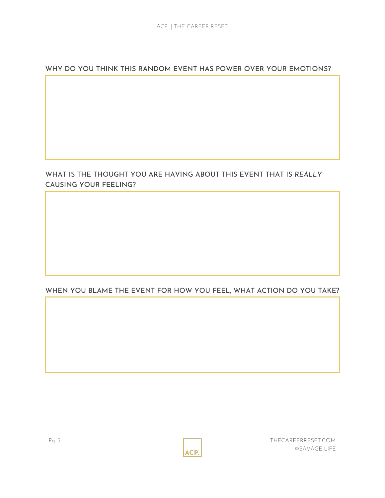WHY DO YOU THINK THIS RANDOM EVENT HAS POWER OVER YOUR EMOTIONS?

# WHAT IS THE THOUGHT YOU ARE HAVING ABOUT THIS EVENT THAT IS *REALLY* CAUSING YOUR FEELING?

# WHEN YOU BLAME THE EVENT FOR HOW YOU FEEL, WHAT ACTION DO YOU TAKE?